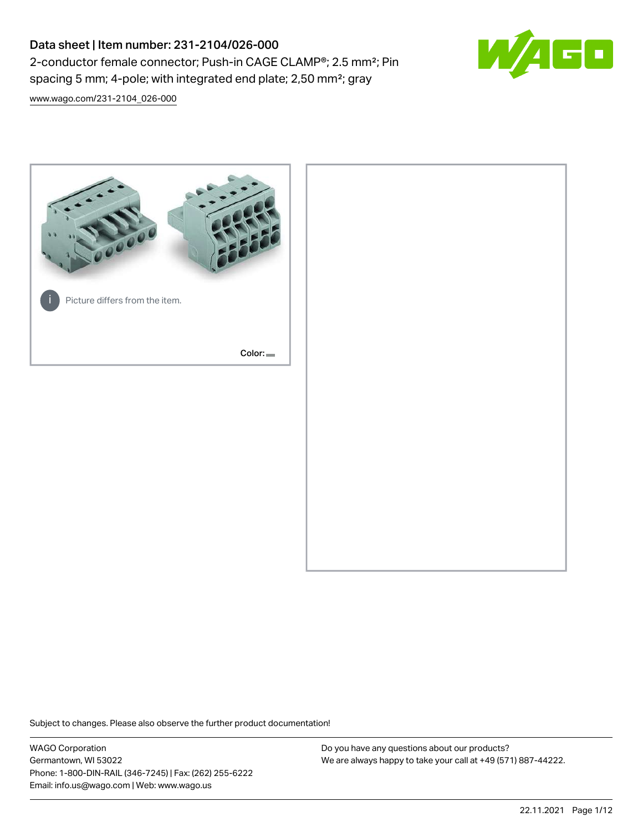# Data sheet | Item number: 231-2104/026-000 2-conductor female connector; Push-in CAGE CLAMP®; 2.5 mm²; Pin spacing 5 mm; 4-pole; with integrated end plate; 2,50 mm²; gray



[www.wago.com/231-2104\\_026-000](http://www.wago.com/231-2104_026-000)



Subject to changes. Please also observe the further product documentation!

WAGO Corporation Germantown, WI 53022 Phone: 1-800-DIN-RAIL (346-7245) | Fax: (262) 255-6222 Email: info.us@wago.com | Web: www.wago.us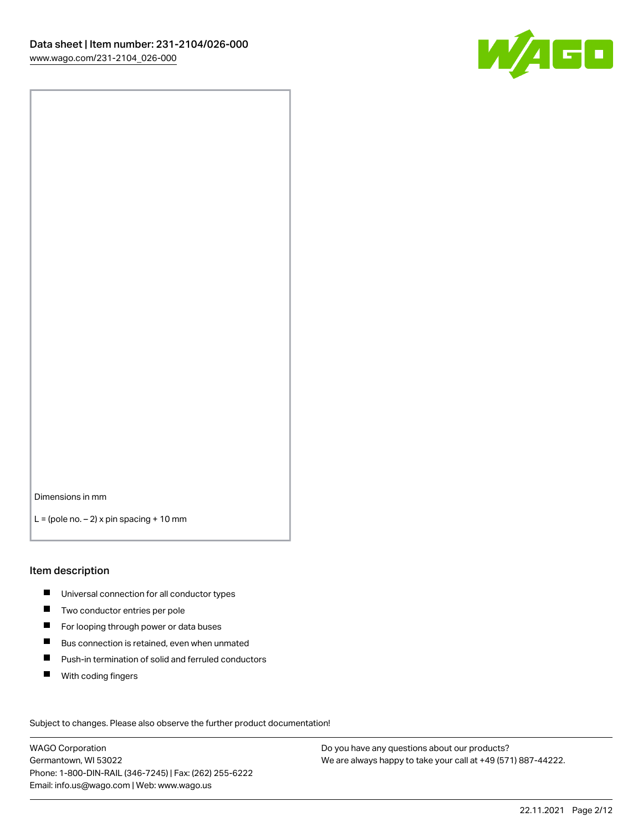

Dimensions in mm

 $L =$  (pole no.  $-2$ ) x pin spacing + 10 mm

#### Item description

- **Universal connection for all conductor types**
- **Two conductor entries per pole**
- $\blacksquare$ For looping through power or data buses
- $\blacksquare$ Bus connection is retained, even when unmated
- $\blacksquare$ Push-in termination of solid and ferruled conductors
- $\blacksquare$ With coding fingers

Subject to changes. Please also observe the further product documentation! Data

WAGO Corporation Germantown, WI 53022 Phone: 1-800-DIN-RAIL (346-7245) | Fax: (262) 255-6222 Email: info.us@wago.com | Web: www.wago.us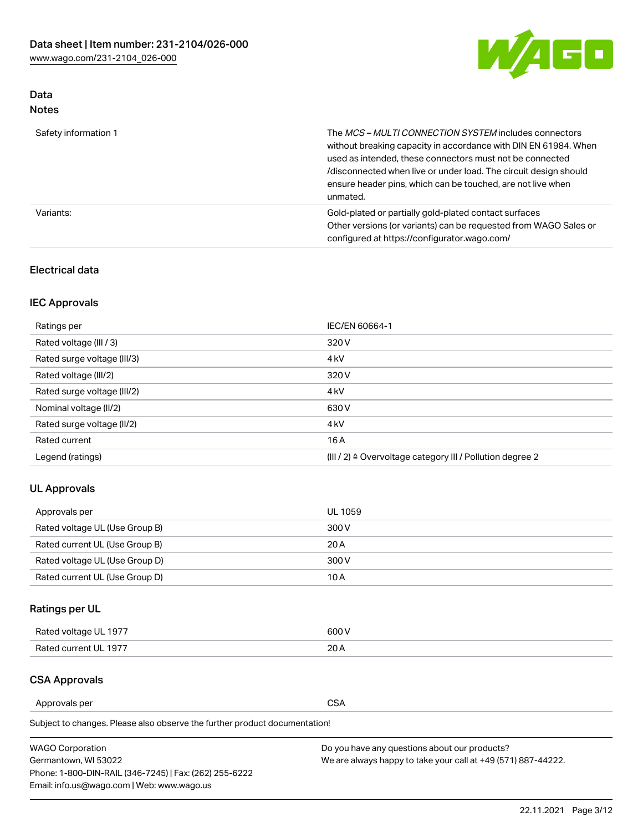

## Data Notes

| Safety information 1 | The <i>MCS – MULTI CONNECTION SYSTEM</i> includes connectors<br>without breaking capacity in accordance with DIN EN 61984. When<br>used as intended, these connectors must not be connected<br>/disconnected when live or under load. The circuit design should<br>ensure header pins, which can be touched, are not live when<br>unmated. |
|----------------------|--------------------------------------------------------------------------------------------------------------------------------------------------------------------------------------------------------------------------------------------------------------------------------------------------------------------------------------------|
| Variants:            | Gold-plated or partially gold-plated contact surfaces<br>Other versions (or variants) can be requested from WAGO Sales or<br>configured at https://configurator.wago.com/                                                                                                                                                                  |

### Electrical data

## IEC Approvals

| Ratings per                 | IEC/EN 60664-1                                                        |
|-----------------------------|-----------------------------------------------------------------------|
| Rated voltage (III / 3)     | 320 V                                                                 |
| Rated surge voltage (III/3) | 4 <sub>k</sub> V                                                      |
| Rated voltage (III/2)       | 320 V                                                                 |
| Rated surge voltage (III/2) | 4 <sub>k</sub> V                                                      |
| Nominal voltage (II/2)      | 630 V                                                                 |
| Rated surge voltage (II/2)  | 4 <sub>k</sub> V                                                      |
| Rated current               | 16A                                                                   |
| Legend (ratings)            | $(III / 2)$ $\triangle$ Overvoltage category III / Pollution degree 2 |

### UL Approvals

| Approvals per                  | UL 1059 |
|--------------------------------|---------|
| Rated voltage UL (Use Group B) | 300 V   |
| Rated current UL (Use Group B) | 20 A    |
| Rated voltage UL (Use Group D) | 300 V   |
| Rated current UL (Use Group D) | 10 A    |

# Ratings per UL

| Rated voltage UL 1977 | 600 V |
|-----------------------|-------|
| Rated current UL 1977 | nn.   |

### CSA Approvals

Approvals per CSA

Subject to changes. Please also observe the further product documentation!

| <b>WAGO Corporation</b>                                | Do you have any questions about our products?                 |
|--------------------------------------------------------|---------------------------------------------------------------|
| Germantown, WI 53022                                   | We are always happy to take your call at +49 (571) 887-44222. |
| Phone: 1-800-DIN-RAIL (346-7245)   Fax: (262) 255-6222 |                                                               |
| Email: info.us@wago.com   Web: www.wago.us             |                                                               |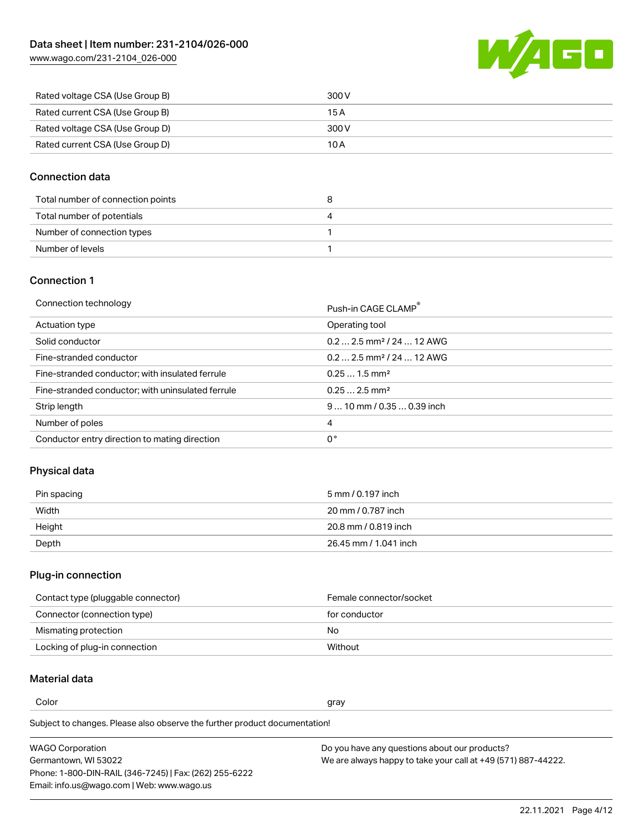[www.wago.com/231-2104\\_026-000](http://www.wago.com/231-2104_026-000)



| Rated voltage CSA (Use Group B) | 300 V |
|---------------------------------|-------|
| Rated current CSA (Use Group B) | 15 A  |
| Rated voltage CSA (Use Group D) | 300 V |
| Rated current CSA (Use Group D) | 10 A  |

#### Connection data

| Total number of connection points | o |
|-----------------------------------|---|
| Total number of potentials        | 4 |
| Number of connection types        |   |
| Number of levels                  |   |

#### Connection 1

| Connection technology                             | Push-in CAGE CLAMP®                   |
|---------------------------------------------------|---------------------------------------|
| Actuation type                                    | Operating tool                        |
| Solid conductor                                   | $0.22.5$ mm <sup>2</sup> / 24  12 AWG |
| Fine-stranded conductor                           | $0.22.5$ mm <sup>2</sup> / 24  12 AWG |
| Fine-stranded conductor; with insulated ferrule   | $0.251.5$ mm <sup>2</sup>             |
| Fine-stranded conductor; with uninsulated ferrule | $0.252.5$ mm <sup>2</sup>             |
| Strip length                                      | $910$ mm / 0.35  0.39 inch            |
| Number of poles                                   | 4                                     |
| Conductor entry direction to mating direction     | 0°                                    |

## Physical data

| Pin spacing | 5 mm / 0.197 inch     |
|-------------|-----------------------|
| Width       | 20 mm / 0.787 inch    |
| Height      | 20.8 mm / 0.819 inch  |
| Depth       | 26.45 mm / 1.041 inch |

# Plug-in connection

| Contact type (pluggable connector) | Female connector/socket |
|------------------------------------|-------------------------|
| Connector (connection type)        | for conductor           |
| Mismating protection               | No                      |
| Locking of plug-in connection      | Without                 |

## Material data

Color and the color of the color of the color of the color of the color of the color of the color of the color

Subject to changes. Please also observe the further product documentation! Material group I

| <b>WAGO Corporation</b>                                | Do you have any questions about our products?                 |
|--------------------------------------------------------|---------------------------------------------------------------|
| Germantown, WI 53022                                   | We are always happy to take your call at +49 (571) 887-44222. |
| Phone: 1-800-DIN-RAIL (346-7245)   Fax: (262) 255-6222 |                                                               |
| Email: info.us@wago.com   Web: www.wago.us             |                                                               |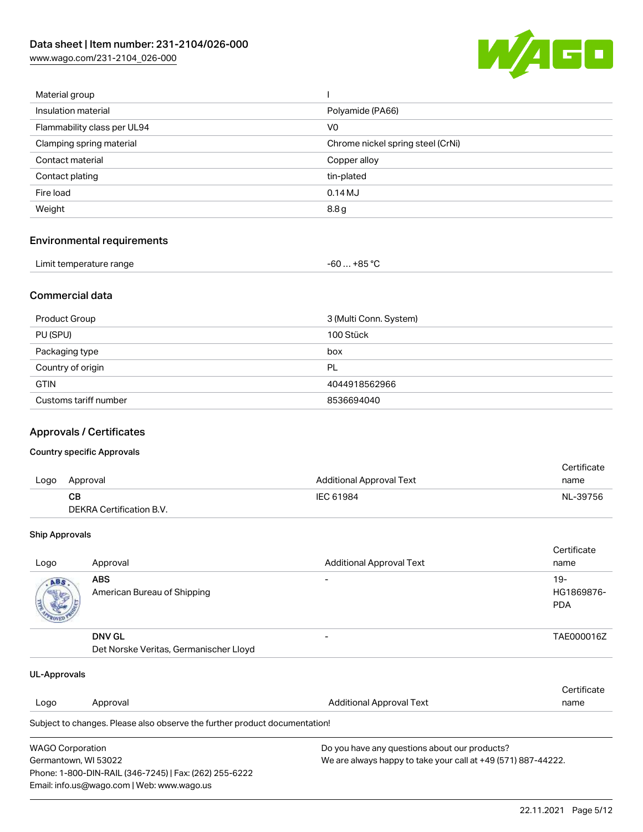[www.wago.com/231-2104\\_026-000](http://www.wago.com/231-2104_026-000)



| Material group              |                                   |
|-----------------------------|-----------------------------------|
| Insulation material         | Polyamide (PA66)                  |
| Flammability class per UL94 | V <sub>0</sub>                    |
| Clamping spring material    | Chrome nickel spring steel (CrNi) |
| Contact material            | Copper alloy                      |
| Contact plating             | tin-plated                        |
| Fire load                   | 0.14M                             |
| Weight                      | 8.8 g                             |
|                             |                                   |

#### Environmental requirements

| Limit temperature range | -60 … +85 ℃ |
|-------------------------|-------------|
|-------------------------|-------------|

#### Commercial data

| Product Group         | 3 (Multi Conn. System) |
|-----------------------|------------------------|
| PU (SPU)              | 100 Stück              |
| Packaging type        | box                    |
| Country of origin     | PL                     |
| <b>GTIN</b>           | 4044918562966          |
| Customs tariff number | 8536694040             |

#### Approvals / Certificates

#### Country specific Approvals

|      |                          |                          | Certificate |
|------|--------------------------|--------------------------|-------------|
| Logo | Approval                 | Additional Approval Text | name        |
|      | CB.                      | IEC 61984                | NL-39756    |
|      | DEKRA Certification B.V. |                          |             |

#### Ship Approvals

| Logo | Approval                                                | <b>Additional Approval Text</b> | Certificate<br>name                |
|------|---------------------------------------------------------|---------------------------------|------------------------------------|
| ABS. | <b>ABS</b><br>American Bureau of Shipping               |                                 | $19 -$<br>HG1869876-<br><b>PDA</b> |
|      | <b>DNV GL</b><br>Det Norske Veritas, Germanischer Lloyd |                                 | TAE000016Z                         |

| UL-Approvals            |                                                                            |                                               |                                                               |  |
|-------------------------|----------------------------------------------------------------------------|-----------------------------------------------|---------------------------------------------------------------|--|
|                         |                                                                            |                                               | Certificate                                                   |  |
| Logo                    | Approval                                                                   | <b>Additional Approval Text</b>               | name                                                          |  |
|                         | Subject to changes. Please also observe the further product documentation! |                                               |                                                               |  |
| <b>WAGO Corporation</b> |                                                                            | Do you have any questions about our products? |                                                               |  |
| Germantown, WI 53022    |                                                                            |                                               | We are always happy to take your call at +49 (571) 887-44222. |  |
|                         | Phone: 1-800-DIN-RAIL (346-7245)   Fax: (262) 255-6222                     |                                               |                                                               |  |
|                         | Email: info.us@wago.com   Web: www.wago.us                                 |                                               |                                                               |  |

22.11.2021 Page 5/12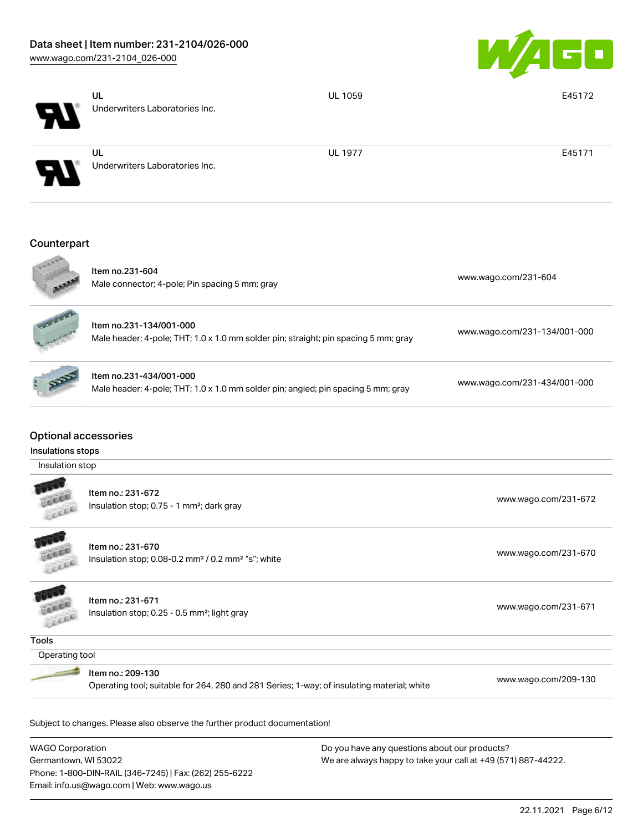Phone: 1-800-DIN-RAIL (346-7245) | Fax: (262) 255-6222

Email: info.us@wago.com | Web: www.wago.us



|                                                                     | UL<br>Underwriters Laboratories Inc.                                                                            | <b>UL 1059</b>                                                                                                 | E45172                       |
|---------------------------------------------------------------------|-----------------------------------------------------------------------------------------------------------------|----------------------------------------------------------------------------------------------------------------|------------------------------|
|                                                                     | UL<br>Underwriters Laboratories Inc.                                                                            | <b>UL 1977</b>                                                                                                 | E45171                       |
| Counterpart                                                         |                                                                                                                 |                                                                                                                |                              |
|                                                                     | Item no.231-604<br>Male connector; 4-pole; Pin spacing 5 mm; gray                                               |                                                                                                                | www.wago.com/231-604         |
|                                                                     | Item no.231-134/001-000<br>Male header; 4-pole; THT; 1.0 x 1.0 mm solder pin; straight; pin spacing 5 mm; gray  |                                                                                                                | www.wago.com/231-134/001-000 |
|                                                                     | Item no.231-434/001-000<br>Male header; 4-pole; THT; 1.0 x 1.0 mm solder pin; angled; pin spacing 5 mm; gray    |                                                                                                                | www.wago.com/231-434/001-000 |
| <b>Optional accessories</b><br>Insulations stops<br>Insulation stop |                                                                                                                 |                                                                                                                |                              |
|                                                                     | Item no.: 231-672<br>Insulation stop; 0.75 - 1 mm <sup>2</sup> ; dark gray                                      |                                                                                                                | www.wago.com/231-672         |
| CLERK                                                               | Item no.: 231-670<br>Insulation stop; 0.08-0.2 mm <sup>2</sup> / 0.2 mm <sup>2</sup> "s"; white                 |                                                                                                                | www.wago.com/231-670         |
|                                                                     | Item no.: 231-671<br>Insulation stop; 0.25 - 0.5 mm <sup>2</sup> ; light gray                                   |                                                                                                                | www.wago.com/231-671         |
| <b>Tools</b>                                                        |                                                                                                                 |                                                                                                                |                              |
| Operating tool                                                      | Item no.: 209-130<br>Operating tool; suitable for 264, 280 and 281 Series; 1-way; of insulating material; white |                                                                                                                | www.wago.com/209-130         |
|                                                                     | Subject to changes. Please also observe the further product documentation!                                      |                                                                                                                |                              |
| <b>WAGO Corporation</b><br>Germantown, WI 53022                     |                                                                                                                 | Do you have any questions about our products?<br>We are always happy to take your call at +49 (571) 887-44222. |                              |

22.11.2021 Page 6/12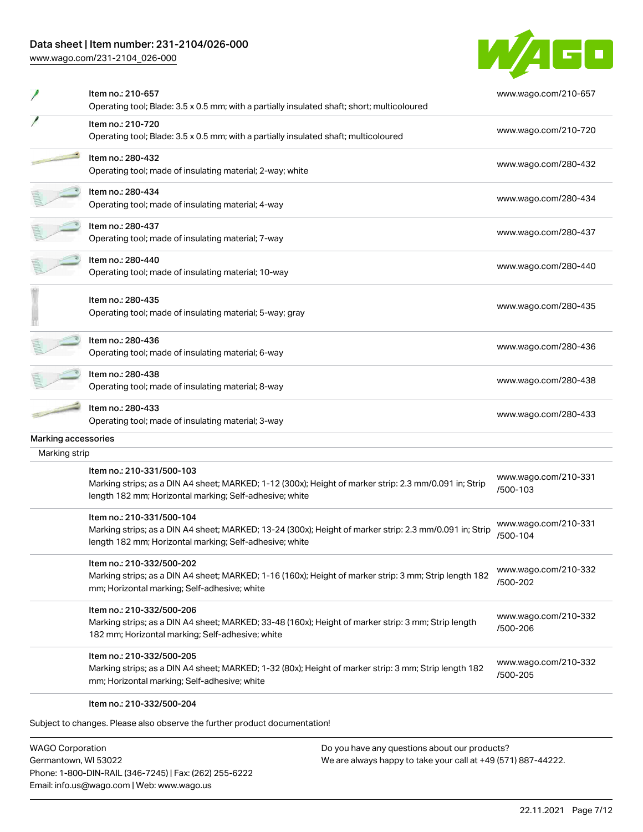## Data sheet | Item number: 231-2104/026-000

[www.wago.com/231-2104\\_026-000](http://www.wago.com/231-2104_026-000)



|                                      | Item no.: 210-657<br>Operating tool; Blade: 3.5 x 0.5 mm; with a partially insulated shaft; short; multicoloured                                                                                | www.wago.com/210-657             |
|--------------------------------------|-------------------------------------------------------------------------------------------------------------------------------------------------------------------------------------------------|----------------------------------|
|                                      | Item no.: 210-720<br>Operating tool; Blade: 3.5 x 0.5 mm; with a partially insulated shaft; multicoloured                                                                                       | www.wago.com/210-720             |
|                                      | Item no.: 280-432<br>Operating tool; made of insulating material; 2-way; white                                                                                                                  | www.wago.com/280-432             |
|                                      | Item no.: 280-434<br>Operating tool; made of insulating material; 4-way                                                                                                                         | www.wago.com/280-434             |
|                                      | Item no.: 280-437<br>Operating tool; made of insulating material; 7-way                                                                                                                         | www.wago.com/280-437             |
|                                      | Item no.: 280-440<br>Operating tool; made of insulating material; 10-way                                                                                                                        | www.wago.com/280-440             |
|                                      | Item no.: 280-435<br>Operating tool; made of insulating material; 5-way; gray                                                                                                                   | www.wago.com/280-435             |
|                                      | Item no.: 280-436<br>Operating tool; made of insulating material; 6-way                                                                                                                         | www.wago.com/280-436             |
|                                      | Item no.: 280-438<br>Operating tool; made of insulating material; 8-way                                                                                                                         | www.wago.com/280-438             |
|                                      | Item no.: 280-433<br>Operating tool; made of insulating material; 3-way                                                                                                                         | www.wago.com/280-433             |
| Marking accessories<br>Marking strip |                                                                                                                                                                                                 |                                  |
|                                      | Item no.: 210-331/500-103<br>Marking strips; as a DIN A4 sheet; MARKED; 1-12 (300x); Height of marker strip: 2.3 mm/0.091 in; Strip<br>length 182 mm; Horizontal marking; Self-adhesive; white  | www.wago.com/210-331<br>/500-103 |
|                                      | Item no.: 210-331/500-104<br>Marking strips; as a DIN A4 sheet; MARKED; 13-24 (300x); Height of marker strip: 2.3 mm/0.091 in; Strip<br>length 182 mm; Horizontal marking; Self-adhesive; white | www.wago.com/210-331<br>/500-104 |
|                                      | Item no.: 210-332/500-202<br>Marking strips; as a DIN A4 sheet; MARKED; 1-16 (160x); Height of marker strip: 3 mm; Strip length 182<br>mm; Horizontal marking; Self-adhesive; white             | www.wago.com/210-332<br>/500-202 |
|                                      | Item no.: 210-332/500-206<br>Marking strips; as a DIN A4 sheet; MARKED; 33-48 (160x); Height of marker strip: 3 mm; Strip length<br>182 mm; Horizontal marking; Self-adhesive; white            | www.wago.com/210-332<br>/500-206 |
|                                      | Item no.: 210-332/500-205<br>Marking strips; as a DIN A4 sheet; MARKED; 1-32 (80x); Height of marker strip: 3 mm; Strip length 182<br>mm; Horizontal marking; Self-adhesive; white              | www.wago.com/210-332<br>/500-205 |
|                                      | Item no.: 210-332/500-204<br>Subject to changes. Please also observe the further product documentation!                                                                                         |                                  |

WAGO Corporation Germantown, WI 53022 Phone: 1-800-DIN-RAIL (346-7245) | Fax: (262) 255-6222 Email: info.us@wago.com | Web: www.wago.us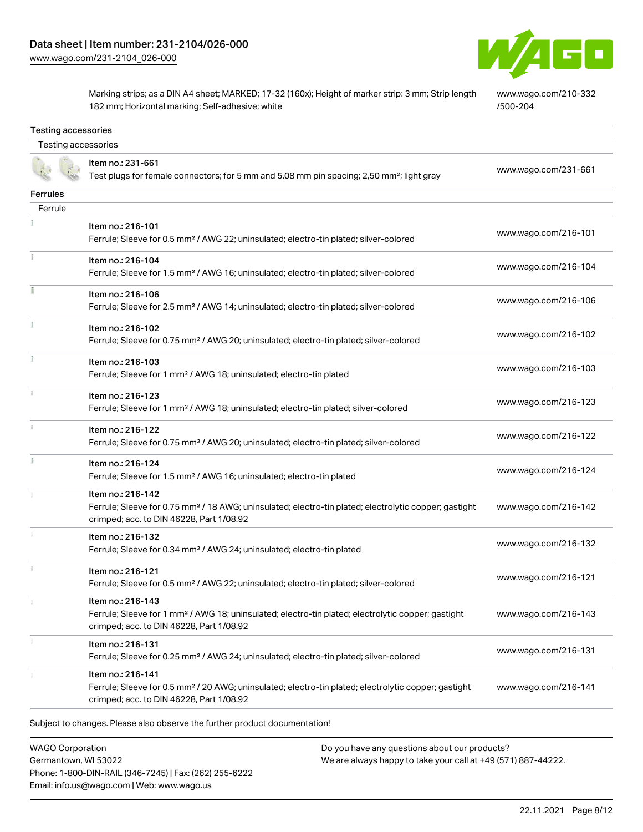Testing accessories



Marking strips; as a DIN A4 sheet; MARKED; 17-32 (160x); Height of marker strip: 3 mm; Strip length 182 mm; Horizontal marking; Self-adhesive; white

[www.wago.com/210-332](http://www.wago.com/210-332/500-204) [/500-204](http://www.wago.com/210-332/500-204)

| Testing accessories |                                                                                                                                                                                    |                      |
|---------------------|------------------------------------------------------------------------------------------------------------------------------------------------------------------------------------|----------------------|
|                     | Item no.: 231-661<br>Test plugs for female connectors; for 5 mm and 5.08 mm pin spacing; 2,50 mm <sup>2</sup> ; light gray                                                         | www.wago.com/231-661 |
| Ferrules            |                                                                                                                                                                                    |                      |
| Ferrule             |                                                                                                                                                                                    |                      |
|                     | Item no.: 216-101<br>Ferrule; Sleeve for 0.5 mm <sup>2</sup> / AWG 22; uninsulated; electro-tin plated; silver-colored                                                             | www.wago.com/216-101 |
| î.                  | Item no.: 216-104<br>Ferrule; Sleeve for 1.5 mm <sup>2</sup> / AWG 16; uninsulated; electro-tin plated; silver-colored                                                             | www.wago.com/216-104 |
|                     | Item no.: 216-106<br>Ferrule; Sleeve for 2.5 mm <sup>2</sup> / AWG 14; uninsulated; electro-tin plated; silver-colored                                                             | www.wago.com/216-106 |
|                     | Item no.: 216-102<br>Ferrule; Sleeve for 0.75 mm <sup>2</sup> / AWG 20; uninsulated; electro-tin plated; silver-colored                                                            | www.wago.com/216-102 |
|                     | Item no.: 216-103<br>Ferrule; Sleeve for 1 mm <sup>2</sup> / AWG 18; uninsulated; electro-tin plated                                                                               | www.wago.com/216-103 |
|                     | Item no.: 216-123<br>Ferrule; Sleeve for 1 mm <sup>2</sup> / AWG 18; uninsulated; electro-tin plated; silver-colored                                                               | www.wago.com/216-123 |
| $\frac{1}{3}$       | Item no.: 216-122<br>Ferrule; Sleeve for 0.75 mm <sup>2</sup> / AWG 20; uninsulated; electro-tin plated; silver-colored                                                            | www.wago.com/216-122 |
| I.                  | Item no.: 216-124<br>Ferrule; Sleeve for 1.5 mm <sup>2</sup> / AWG 16; uninsulated; electro-tin plated                                                                             | www.wago.com/216-124 |
|                     | Item no.: 216-142<br>Ferrule; Sleeve for 0.75 mm <sup>2</sup> / 18 AWG; uninsulated; electro-tin plated; electrolytic copper; gastight<br>crimped; acc. to DIN 46228, Part 1/08.92 | www.wago.com/216-142 |
|                     | Item no.: 216-132<br>Ferrule; Sleeve for 0.34 mm <sup>2</sup> / AWG 24; uninsulated; electro-tin plated                                                                            | www.wago.com/216-132 |
|                     | Item no.: 216-121<br>Ferrule; Sleeve for 0.5 mm <sup>2</sup> / AWG 22; uninsulated; electro-tin plated; silver-colored                                                             | www.wago.com/216-121 |
|                     | Item no.: 216-143<br>Ferrule; Sleeve for 1 mm <sup>2</sup> / AWG 18; uninsulated; electro-tin plated; electrolytic copper; gastight<br>crimped; acc. to DIN 46228, Part 1/08.92    | www.wago.com/216-143 |
| 1                   | Item no.: 216-131<br>Ferrule; Sleeve for 0.25 mm <sup>2</sup> / AWG 24; uninsulated; electro-tin plated; silver-colored                                                            | www.wago.com/216-131 |
|                     | Item no.: 216-141<br>Ferrule; Sleeve for 0.5 mm <sup>2</sup> / 20 AWG; uninsulated; electro-tin plated; electrolytic copper; gastight<br>crimped; acc. to DIN 46228, Part 1/08.92  | www.wago.com/216-141 |

WAGO Corporation Germantown, WI 53022 Phone: 1-800-DIN-RAIL (346-7245) | Fax: (262) 255-6222 Email: info.us@wago.com | Web: www.wago.us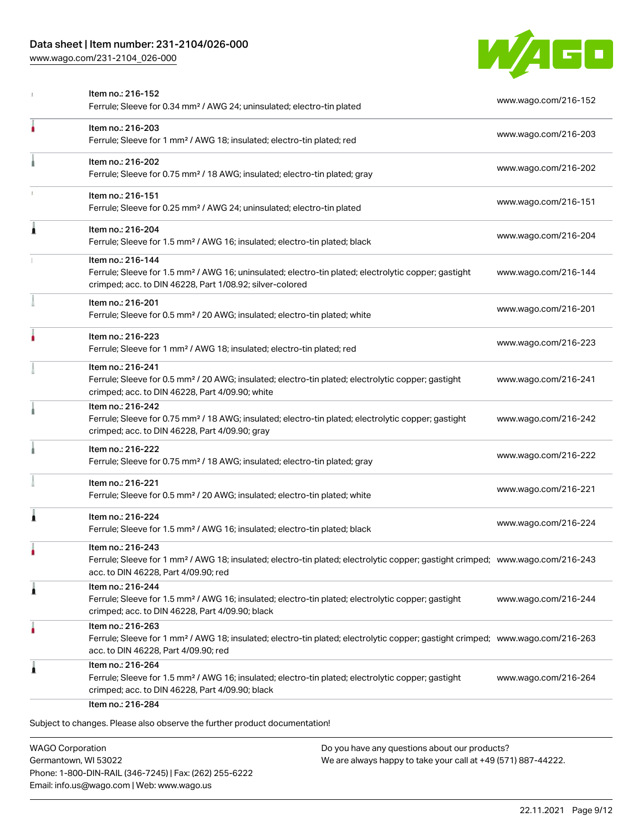## Data sheet | Item number: 231-2104/026-000

[www.wago.com/231-2104\\_026-000](http://www.wago.com/231-2104_026-000)



|   | Ferrule; Sleeve for 0.34 mm <sup>2</sup> / AWG 24; uninsulated; electro-tin plated                                                                                                                      | www.wago.com/216-152 |
|---|---------------------------------------------------------------------------------------------------------------------------------------------------------------------------------------------------------|----------------------|
| ۸ | Item no.: 216-203<br>Ferrule; Sleeve for 1 mm <sup>2</sup> / AWG 18; insulated; electro-tin plated; red                                                                                                 | www.wago.com/216-203 |
|   | Item no.: 216-202<br>Ferrule; Sleeve for 0.75 mm <sup>2</sup> / 18 AWG; insulated; electro-tin plated; gray                                                                                             | www.wago.com/216-202 |
|   | Item no.: 216-151<br>Ferrule; Sleeve for 0.25 mm <sup>2</sup> / AWG 24; uninsulated; electro-tin plated                                                                                                 | www.wago.com/216-151 |
| 1 | Item no.: 216-204<br>Ferrule; Sleeve for 1.5 mm <sup>2</sup> / AWG 16; insulated; electro-tin plated; black                                                                                             | www.wago.com/216-204 |
|   | Item no.: 216-144<br>Ferrule; Sleeve for 1.5 mm <sup>2</sup> / AWG 16; uninsulated; electro-tin plated; electrolytic copper; gastight<br>crimped; acc. to DIN 46228, Part 1/08.92; silver-colored       | www.wago.com/216-144 |
|   | Item no.: 216-201<br>Ferrule; Sleeve for 0.5 mm <sup>2</sup> / 20 AWG; insulated; electro-tin plated; white                                                                                             | www.wago.com/216-201 |
|   | Item no.: 216-223<br>Ferrule; Sleeve for 1 mm <sup>2</sup> / AWG 18; insulated; electro-tin plated; red                                                                                                 | www.wago.com/216-223 |
|   | Item no.: 216-241<br>Ferrule; Sleeve for 0.5 mm <sup>2</sup> / 20 AWG; insulated; electro-tin plated; electrolytic copper; gastight<br>crimped; acc. to DIN 46228, Part 4/09.90; white                  | www.wago.com/216-241 |
|   | Item no.: 216-242<br>Ferrule; Sleeve for 0.75 mm <sup>2</sup> / 18 AWG; insulated; electro-tin plated; electrolytic copper; gastight<br>crimped; acc. to DIN 46228, Part 4/09.90; gray                  | www.wago.com/216-242 |
|   | Item no.: 216-222<br>Ferrule; Sleeve for 0.75 mm <sup>2</sup> / 18 AWG; insulated; electro-tin plated; gray                                                                                             | www.wago.com/216-222 |
|   | Item no.: 216-221<br>Ferrule; Sleeve for 0.5 mm <sup>2</sup> / 20 AWG; insulated; electro-tin plated; white                                                                                             | www.wago.com/216-221 |
| Â | Item no.: 216-224<br>Ferrule; Sleeve for 1.5 mm <sup>2</sup> / AWG 16; insulated; electro-tin plated; black                                                                                             | www.wago.com/216-224 |
|   | Item no.: 216-243<br>Ferrule; Sleeve for 1 mm <sup>2</sup> / AWG 18; insulated; electro-tin plated; electrolytic copper; gastight crimped; www.wago.com/216-243<br>acc. to DIN 46228, Part 4/09.90; red |                      |
| 1 | Item no.: 216-244<br>Ferrule; Sleeve for 1.5 mm <sup>2</sup> / AWG 16; insulated; electro-tin plated; electrolytic copper; gastight<br>crimped; acc. to DIN 46228, Part 4/09.90; black                  | www.wago.com/216-244 |
| ٠ | Item no.: 216-263<br>Ferrule; Sleeve for 1 mm <sup>2</sup> / AWG 18; insulated; electro-tin plated; electrolytic copper; gastight crimped; www.wago.com/216-263<br>acc. to DIN 46228, Part 4/09.90; red |                      |
| 1 | Item no.: 216-264<br>Ferrule; Sleeve for 1.5 mm <sup>2</sup> / AWG 16; insulated; electro-tin plated; electrolytic copper; gastight<br>crimped; acc. to DIN 46228, Part 4/09.90; black                  | www.wago.com/216-264 |
|   | Item no.: 216-284                                                                                                                                                                                       |                      |

WAGO Corporation Germantown, WI 53022 Phone: 1-800-DIN-RAIL (346-7245) | Fax: (262) 255-6222 Email: info.us@wago.com | Web: www.wago.us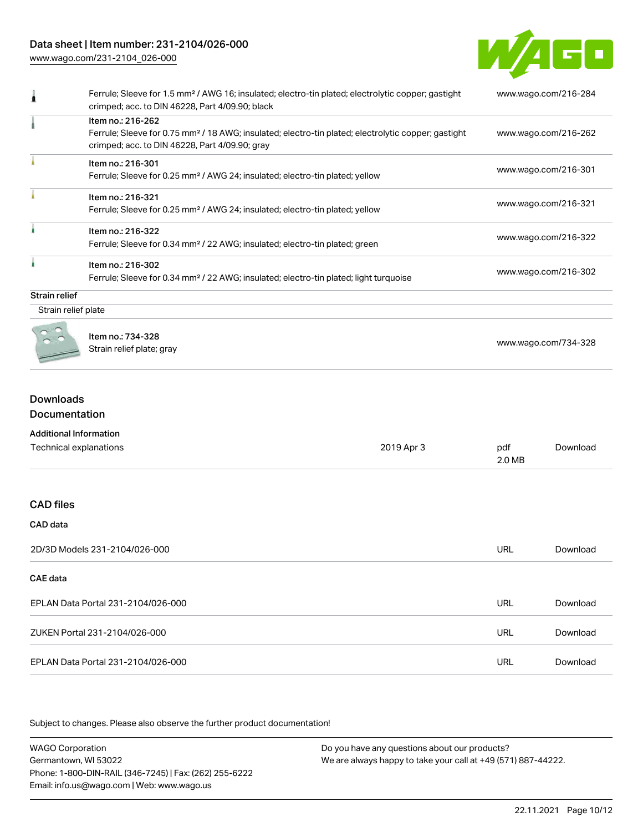## Data sheet | Item number: 231-2104/026-000

[www.wago.com/231-2104\\_026-000](http://www.wago.com/231-2104_026-000)



|                      | Ferrule; Sleeve for 1.5 mm <sup>2</sup> / AWG 16; insulated; electro-tin plated; electrolytic copper; gastight<br>crimped; acc. to DIN 46228, Part 4/09.90; black | www.wago.com/216-284 |
|----------------------|-------------------------------------------------------------------------------------------------------------------------------------------------------------------|----------------------|
|                      | Item no.: 216-262<br>Ferrule; Sleeve for 0.75 mm <sup>2</sup> / 18 AWG; insulated; electro-tin plated; electrolytic copper; gastight                              | www.wago.com/216-262 |
|                      | crimped; acc. to DIN 46228, Part 4/09.90; gray                                                                                                                    |                      |
|                      | Item no.: 216-301                                                                                                                                                 |                      |
|                      | Ferrule; Sleeve for 0.25 mm <sup>2</sup> / AWG 24; insulated; electro-tin plated; yellow                                                                          | www.wago.com/216-301 |
|                      | Item no.: 216-321                                                                                                                                                 |                      |
|                      | Ferrule; Sleeve for 0.25 mm <sup>2</sup> / AWG 24; insulated; electro-tin plated; yellow                                                                          | www.wago.com/216-321 |
|                      | Item no.: 216-322                                                                                                                                                 |                      |
|                      | Ferrule; Sleeve for 0.34 mm <sup>2</sup> / 22 AWG; insulated; electro-tin plated; green                                                                           | www.wago.com/216-322 |
|                      | Item no.: 216-302                                                                                                                                                 |                      |
|                      | Ferrule; Sleeve for 0.34 mm <sup>2</sup> / 22 AWG; insulated; electro-tin plated; light turquoise                                                                 | www.wago.com/216-302 |
| <b>Strain relief</b> |                                                                                                                                                                   |                      |
| Strain relief plate  |                                                                                                                                                                   |                      |



Item no.: 734-328 Strain relief plate; gray [www.wago.com/734-328](http://www.wago.com/734-328)

#### Downloads Documentation

| <b>Additional Information</b>      |            |               |          |
|------------------------------------|------------|---------------|----------|
| Technical explanations             | 2019 Apr 3 | pdf<br>2.0 MB | Download |
|                                    |            |               |          |
| <b>CAD files</b>                   |            |               |          |
| CAD data                           |            |               |          |
| 2D/3D Models 231-2104/026-000      |            | <b>URL</b>    | Download |
| CAE data                           |            |               |          |
| EPLAN Data Portal 231-2104/026-000 |            | <b>URL</b>    | Download |
| ZUKEN Portal 231-2104/026-000      |            | <b>URL</b>    | Download |
| EPLAN Data Portal 231-2104/026-000 |            | <b>URL</b>    | Download |

Subject to changes. Please also observe the further product documentation!

WAGO Corporation Germantown, WI 53022 Phone: 1-800-DIN-RAIL (346-7245) | Fax: (262) 255-6222 Email: info.us@wago.com | Web: www.wago.us Do you have any questions about our products? We are always happy to take your call at +49 (571) 887-44222.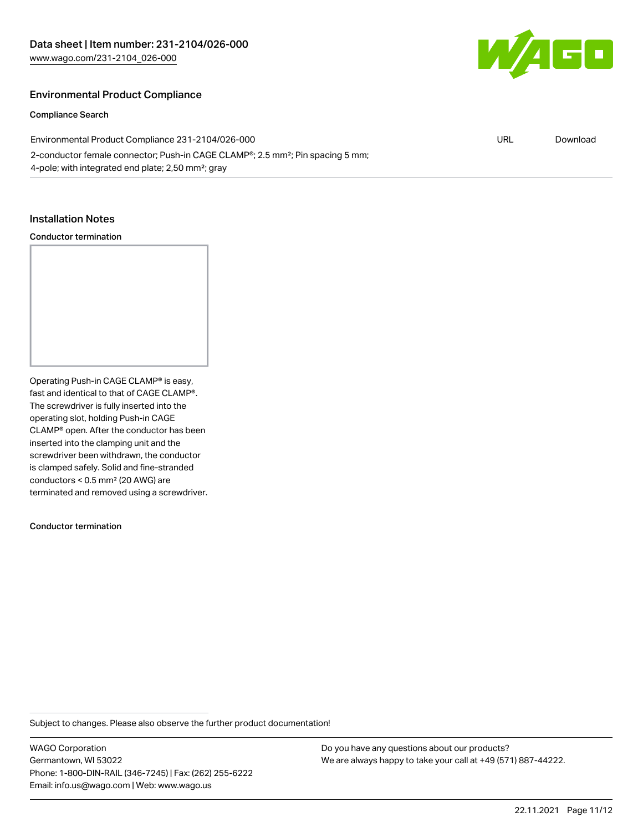

#### Environmental Product Compliance

Compliance Search

Environmental Product Compliance 231-2104/026-000 2-conductor female connector; Push-in CAGE CLAMP®; 2.5 mm²; Pin spacing 5 mm; 4-pole; with integrated end plate; 2,50 mm²; gray URL [Download](https://www.wago.com/global/d/ComplianceLinkMediaContainer_231-2104_026-000)

#### Installation Notes

#### Conductor termination

Operating Push-in CAGE CLAMP® is easy, fast and identical to that of CAGE CLAMP®. The screwdriver is fully inserted into the operating slot, holding Push-in CAGE CLAMP® open. After the conductor has been inserted into the clamping unit and the screwdriver been withdrawn, the conductor is clamped safely. Solid and fine-stranded conductors < 0.5 mm² (20 AWG) are terminated and removed using a screwdriver.

Conductor termination

Subject to changes. Please also observe the further product documentation!

WAGO Corporation Germantown, WI 53022 Phone: 1-800-DIN-RAIL (346-7245) | Fax: (262) 255-6222 Email: info.us@wago.com | Web: www.wago.us